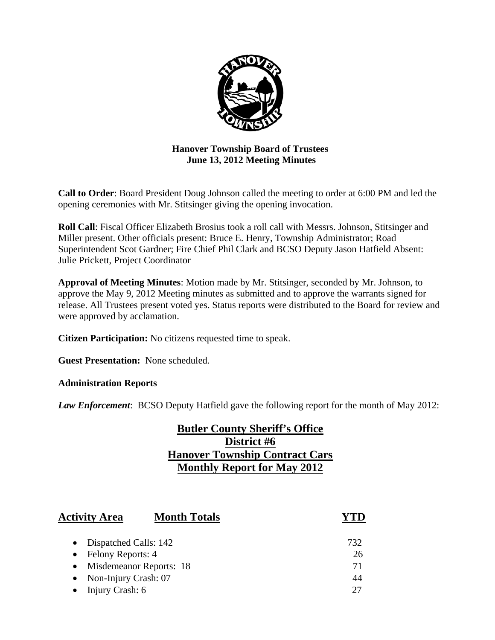

# **Hanover Township Board of Trustees June 13, 2012 Meeting Minutes**

**Call to Order**: Board President Doug Johnson called the meeting to order at 6:00 PM and led the opening ceremonies with Mr. Stitsinger giving the opening invocation.

**Roll Call**: Fiscal Officer Elizabeth Brosius took a roll call with Messrs. Johnson, Stitsinger and Miller present. Other officials present: Bruce E. Henry, Township Administrator; Road Superintendent Scot Gardner; Fire Chief Phil Clark and BCSO Deputy Jason Hatfield Absent: Julie Prickett, Project Coordinator

**Approval of Meeting Minutes**: Motion made by Mr. Stitsinger, seconded by Mr. Johnson, to approve the May 9, 2012 Meeting minutes as submitted and to approve the warrants signed for release. All Trustees present voted yes. Status reports were distributed to the Board for review and were approved by acclamation.

**Citizen Participation:** No citizens requested time to speak.

**Guest Presentation:** None scheduled.

# **Administration Reports**

*Law Enforcement*: BCSO Deputy Hatfield gave the following report for the month of May 2012:

# **Butler County Sheriff's Office District #6 Hanover Township Contract Cars Monthly Report for May 2012**

| <b>Activity Area</b>                 | <b>Month Totals</b> |     |
|--------------------------------------|---------------------|-----|
| Dispatched Calls: 142<br>$\bullet$   |                     | 732 |
| Felony Reports: 4                    |                     | 26  |
| Misdemeanor Reports: 18<br>$\bullet$ |                     | 71  |
| • Non-Injury Crash: $07$             |                     | 44  |
| Injury Crash: 6                      |                     | 27  |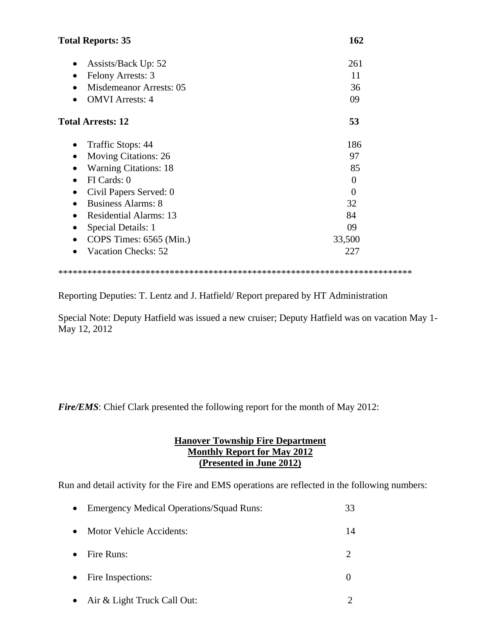| <b>Total Reports: 35</b>                   | 162      |  |
|--------------------------------------------|----------|--|
| Assists/Back Up: 52                        | 261      |  |
| Felony Arrests: 3<br>$\bullet$             | 11       |  |
| Misdemeanor Arrests: 05                    | 36       |  |
| <b>OMVI</b> Arrests: 4<br>$\bullet$        | 09       |  |
| <b>Total Arrests: 12</b>                   | 53       |  |
| Traffic Stops: 44                          | 186      |  |
| <b>Moving Citations: 26</b>                | 97       |  |
| <b>Warning Citations: 18</b>               | 85       |  |
| FI Cards: 0<br>$\bullet$                   | $\theta$ |  |
| Civil Papers Served: 0<br>$\bullet$        | $\Omega$ |  |
| <b>Business Alarms: 8</b><br>$\bullet$     | 32       |  |
| <b>Residential Alarms: 13</b><br>$\bullet$ | 84       |  |
| Special Details: 1<br>٠                    | 09       |  |
| COPS Times: 6565 (Min.)<br>$\bullet$       | 33,500   |  |
| <b>Vacation Checks: 52</b>                 | 227      |  |

#### \*\*\*\*\*\*\*\*\*\*\*\*\*\*\*\*\*\*\*\*\*\*\*\*\*\*\*\*\*\*\*\*\*\*\*\*\*\*\*\*\*\*\*\*\*\*\*\*\*\*\*\*\*\*\*\*\*\*\*\*\*\*\*\*\*\*\*\*\*\*\*\*\*

Reporting Deputies: T. Lentz and J. Hatfield/ Report prepared by HT Administration

Special Note: Deputy Hatfield was issued a new cruiser; Deputy Hatfield was on vacation May 1- May 12, 2012

*Fire/EMS*: Chief Clark presented the following report for the month of May 2012:

# **Hanover Township Fire Department Monthly Report for May 2012 (Presented in June 2012)**

Run and detail activity for the Fire and EMS operations are reflected in the following numbers:

| $\bullet$ | <b>Emergency Medical Operations/Squad Runs:</b> | 33 |
|-----------|-------------------------------------------------|----|
| $\bullet$ | Motor Vehicle Accidents:                        | 14 |
| $\bullet$ | Fire Runs:                                      |    |
|           | • Fire Inspections:                             |    |
| $\bullet$ | Air & Light Truck Call Out:                     |    |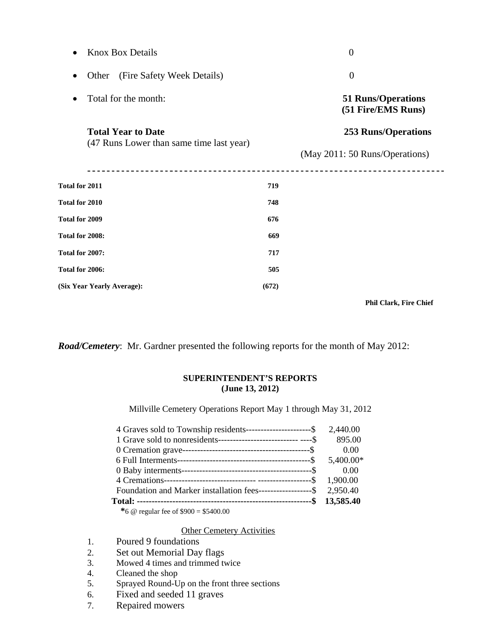|                                                                       | <b>Knox Box Details</b>             |       | 0                                               |
|-----------------------------------------------------------------------|-------------------------------------|-------|-------------------------------------------------|
| $\bullet$                                                             | (Fire Safety Week Details)<br>Other |       | $\boldsymbol{0}$                                |
|                                                                       | Total for the month:                |       | <b>51 Runs/Operations</b><br>(51 Fire/EMS Runs) |
| <b>Total Year to Date</b><br>(47 Runs Lower than same time last year) |                                     |       | <b>253 Runs/Operations</b>                      |
|                                                                       |                                     |       | (May 2011: 50 Runs/Operations)                  |
| Total for 2011                                                        |                                     | 719   |                                                 |
| Total for 2010                                                        |                                     | 748   |                                                 |
| Total for 2009                                                        |                                     | 676   |                                                 |
| Total for 2008:                                                       |                                     | 669   |                                                 |
| Total for 2007:                                                       |                                     | 717   |                                                 |
| Total for 2006:                                                       |                                     | 505   |                                                 |
|                                                                       | (Six Year Yearly Average):          | (672) |                                                 |
|                                                                       |                                     |       | $\sim$ $\sim$ $\sim$                            |

 **Phil Clark, Fire Chief** 

*Road/Cemetery*: Mr. Gardner presented the following reports for the month of May 2012:

### **SUPERINTENDENT'S REPORTS (June 13, 2012)**

Millville Cemetery Operations Report May 1 through May 31, 2012

| 4 Graves sold to Township residents-----------------------\$         | 2,440.00  |
|----------------------------------------------------------------------|-----------|
|                                                                      | 895.00    |
|                                                                      | 0.00      |
|                                                                      | 5,400.00* |
|                                                                      | 0.00      |
|                                                                      | 1,900.00  |
| Foundation and Marker installation fees------------------\$ 2,950.40 |           |
|                                                                      |           |

 **\***6 @ regular fee of \$900 = \$5400.00

# **Other Cemetery Activities**

- 1. Poured 9 foundations
- 2. Set out Memorial Day flags<br>3. Mowed 4 times and trimmed tv
- Mowed 4 times and trimmed twice
- 4. Cleaned the shop
- 5. Sprayed Round-Up on the front three sections
- 6. Fixed and seeded 11 graves
- 7. Repaired mowers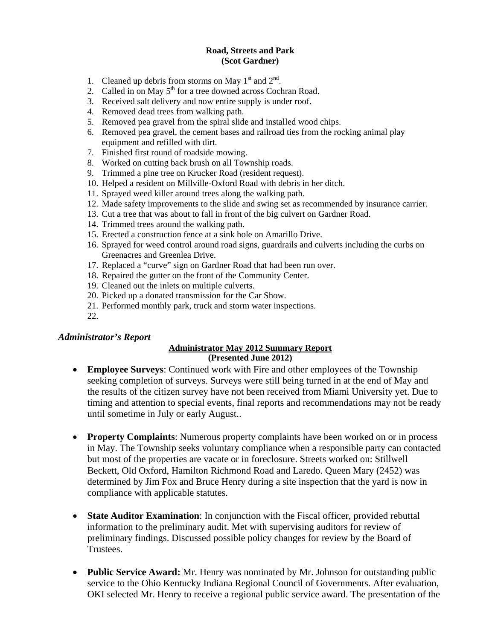### **Road, Streets and Park (Scot Gardner)**

- 1. Cleaned up debris from storms on May  $1<sup>st</sup>$  and  $2<sup>nd</sup>$ .
- 2. Called in on May  $5<sup>th</sup>$  for a tree downed across Cochran Road.
- 3. Received salt delivery and now entire supply is under roof.
- 4. Removed dead trees from walking path.
- 5. Removed pea gravel from the spiral slide and installed wood chips.
- 6. Removed pea gravel, the cement bases and railroad ties from the rocking animal play equipment and refilled with dirt.
- 7. Finished first round of roadside mowing.
- 8. Worked on cutting back brush on all Township roads.
- 9. Trimmed a pine tree on Krucker Road (resident request).
- 10. Helped a resident on Millville-Oxford Road with debris in her ditch.
- 11. Sprayed weed killer around trees along the walking path.
- 12. Made safety improvements to the slide and swing set as recommended by insurance carrier.
- 13. Cut a tree that was about to fall in front of the big culvert on Gardner Road.
- 14. Trimmed trees around the walking path.
- 15. Erected a construction fence at a sink hole on Amarillo Drive.
- 16. Sprayed for weed control around road signs, guardrails and culverts including the curbs on Greenacres and Greenlea Drive.
- 17. Replaced a "curve" sign on Gardner Road that had been run over.
- 18. Repaired the gutter on the front of the Community Center.
- 19. Cleaned out the inlets on multiple culverts.
- 20. Picked up a donated transmission for the Car Show.
- 21. Performed monthly park, truck and storm water inspections.
- 22.

### *Administrator's Report*

### **Administrator May 2012 Summary Report (Presented June 2012)**

- **Employee Surveys**: Continued work with Fire and other employees of the Township seeking completion of surveys. Surveys were still being turned in at the end of May and the results of the citizen survey have not been received from Miami University yet. Due to timing and attention to special events, final reports and recommendations may not be ready until sometime in July or early August..
- **Property Complaints**: Numerous property complaints have been worked on or in process in May. The Township seeks voluntary compliance when a responsible party can contacted but most of the properties are vacate or in foreclosure. Streets worked on: Stillwell Beckett, Old Oxford, Hamilton Richmond Road and Laredo. Queen Mary (2452) was determined by Jim Fox and Bruce Henry during a site inspection that the yard is now in compliance with applicable statutes.
- **State Auditor Examination**: In conjunction with the Fiscal officer, provided rebuttal information to the preliminary audit. Met with supervising auditors for review of preliminary findings. Discussed possible policy changes for review by the Board of Trustees.
- **Public Service Award:** Mr. Henry was nominated by Mr. Johnson for outstanding public service to the Ohio Kentucky Indiana Regional Council of Governments. After evaluation, OKI selected Mr. Henry to receive a regional public service award. The presentation of the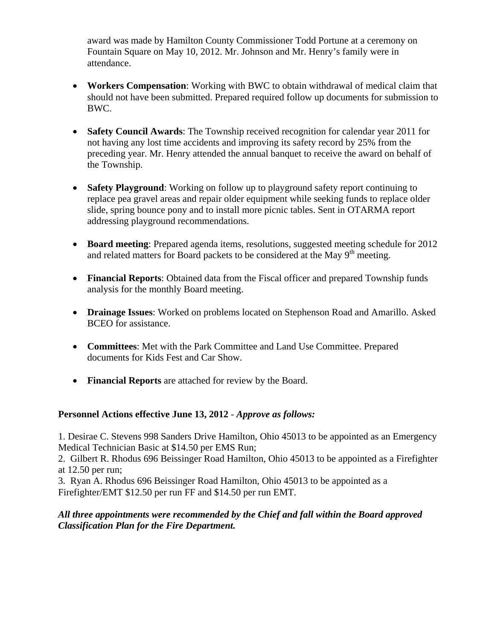award was made by Hamilton County Commissioner Todd Portune at a ceremony on Fountain Square on May 10, 2012. Mr. Johnson and Mr. Henry's family were in attendance.

- **Workers Compensation**: Working with BWC to obtain withdrawal of medical claim that should not have been submitted. Prepared required follow up documents for submission to BWC.
- **Safety Council Awards**: The Township received recognition for calendar year 2011 for not having any lost time accidents and improving its safety record by 25% from the preceding year. Mr. Henry attended the annual banquet to receive the award on behalf of the Township.
- **Safety Playground**: Working on follow up to playground safety report continuing to replace pea gravel areas and repair older equipment while seeking funds to replace older slide, spring bounce pony and to install more picnic tables. Sent in OTARMA report addressing playground recommendations.
- **Board meeting**: Prepared agenda items, resolutions, suggested meeting schedule for 2012 and related matters for Board packets to be considered at the May  $9<sup>th</sup>$  meeting.
- **Financial Reports**: Obtained data from the Fiscal officer and prepared Township funds analysis for the monthly Board meeting.
- **Drainage Issues**: Worked on problems located on Stephenson Road and Amarillo. Asked BCEO for assistance.
- **Committees**: Met with the Park Committee and Land Use Committee. Prepared documents for Kids Fest and Car Show.
- **Financial Reports** are attached for review by the Board.

# **Personnel Actions effective June 13, 2012** - *Approve as follows:*

1. Desirae C. Stevens 998 Sanders Drive Hamilton, Ohio 45013 to be appointed as an Emergency Medical Technician Basic at \$14.50 per EMS Run;

2. Gilbert R. Rhodus 696 Beissinger Road Hamilton, Ohio 45013 to be appointed as a Firefighter at 12.50 per run;

3. Ryan A. Rhodus 696 Beissinger Road Hamilton, Ohio 45013 to be appointed as a Firefighter/EMT \$12.50 per run FF and \$14.50 per run EMT.

# *All three appointments were recommended by the Chief and fall within the Board approved Classification Plan for the Fire Department.*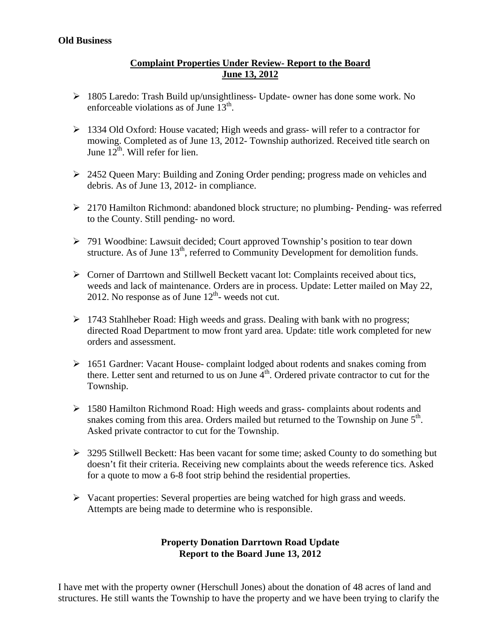# **Complaint Properties Under Review- Report to the Board June 13, 2012**

- 1805 Laredo: Trash Build up/unsightliness- Update- owner has done some work. No enforceable violations as of June  $13<sup>th</sup>$ .
- 1334 Old Oxford: House vacated; High weeds and grass- will refer to a contractor for mowing. Completed as of June 13, 2012- Township authorized. Received title search on June  $12^{\text{th}}$ . Will refer for lien.
- 2452 Queen Mary: Building and Zoning Order pending; progress made on vehicles and debris. As of June 13, 2012- in compliance.
- 2170 Hamilton Richmond: abandoned block structure; no plumbing- Pending- was referred to the County. Still pending- no word.
- 791 Woodbine: Lawsuit decided; Court approved Township's position to tear down structure. As of June  $13<sup>th</sup>$ , referred to Community Development for demolition funds.
- Corner of Darrtown and Stillwell Beckett vacant lot: Complaints received about tics, weeds and lack of maintenance. Orders are in process. Update: Letter mailed on May 22, 2012. No response as of June  $12<sup>th</sup>$ - weeds not cut.
- 1743 Stahlheber Road: High weeds and grass. Dealing with bank with no progress; directed Road Department to mow front yard area. Update: title work completed for new orders and assessment.
- 1651 Gardner: Vacant House- complaint lodged about rodents and snakes coming from there. Letter sent and returned to us on June  $\overline{4}^{th}$ . Ordered private contractor to cut for the Township.
- 1580 Hamilton Richmond Road: High weeds and grass- complaints about rodents and snakes coming from this area. Orders mailed but returned to the Township on June  $5<sup>th</sup>$ . Asked private contractor to cut for the Township.
- > 3295 Stillwell Beckett: Has been vacant for some time; asked County to do something but doesn't fit their criteria. Receiving new complaints about the weeds reference tics. Asked for a quote to mow a 6-8 foot strip behind the residential properties.
- $\triangleright$  Vacant properties: Several properties are being watched for high grass and weeds. Attempts are being made to determine who is responsible.

# **Property Donation Darrtown Road Update Report to the Board June 13, 2012**

I have met with the property owner (Herschull Jones) about the donation of 48 acres of land and structures. He still wants the Township to have the property and we have been trying to clarify the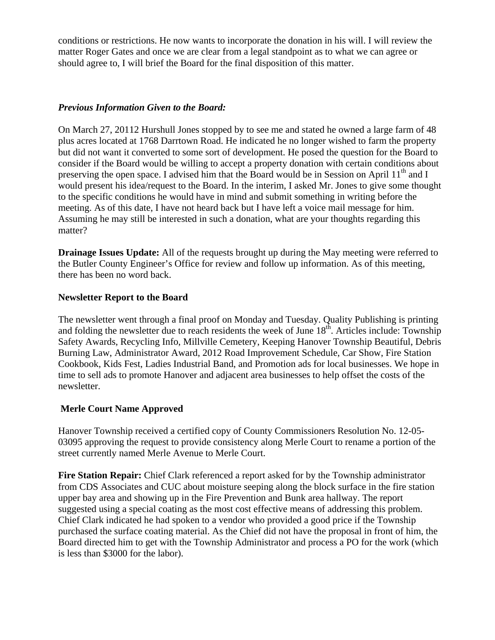conditions or restrictions. He now wants to incorporate the donation in his will. I will review the matter Roger Gates and once we are clear from a legal standpoint as to what we can agree or should agree to, I will brief the Board for the final disposition of this matter.

# *Previous Information Given to the Board:*

On March 27, 20112 Hurshull Jones stopped by to see me and stated he owned a large farm of 48 plus acres located at 1768 Darrtown Road. He indicated he no longer wished to farm the property but did not want it converted to some sort of development. He posed the question for the Board to consider if the Board would be willing to accept a property donation with certain conditions about preserving the open space. I advised him that the Board would be in Session on April  $11<sup>th</sup>$  and I would present his idea/request to the Board. In the interim, I asked Mr. Jones to give some thought to the specific conditions he would have in mind and submit something in writing before the meeting. As of this date, I have not heard back but I have left a voice mail message for him. Assuming he may still be interested in such a donation, what are your thoughts regarding this matter?

**Drainage Issues Update:** All of the requests brought up during the May meeting were referred to the Butler County Engineer's Office for review and follow up information. As of this meeting, there has been no word back.

# **Newsletter Report to the Board**

The newsletter went through a final proof on Monday and Tuesday. Quality Publishing is printing and folding the newsletter due to reach residents the week of June  $18<sup>th</sup>$ . Articles include: Township Safety Awards, Recycling Info, Millville Cemetery, Keeping Hanover Township Beautiful, Debris Burning Law, Administrator Award, 2012 Road Improvement Schedule, Car Show, Fire Station Cookbook, Kids Fest, Ladies Industrial Band, and Promotion ads for local businesses. We hope in time to sell ads to promote Hanover and adjacent area businesses to help offset the costs of the newsletter.

# **Merle Court Name Approved**

Hanover Township received a certified copy of County Commissioners Resolution No. 12-05- 03095 approving the request to provide consistency along Merle Court to rename a portion of the street currently named Merle Avenue to Merle Court.

Fire Station Repair: Chief Clark referenced a report asked for by the Township administrator from CDS Associates and CUC about moisture seeping along the block surface in the fire station upper bay area and showing up in the Fire Prevention and Bunk area hallway. The report suggested using a special coating as the most cost effective means of addressing this problem. Chief Clark indicated he had spoken to a vendor who provided a good price if the Township purchased the surface coating material. As the Chief did not have the proposal in front of him, the Board directed him to get with the Township Administrator and process a PO for the work (which is less than \$3000 for the labor).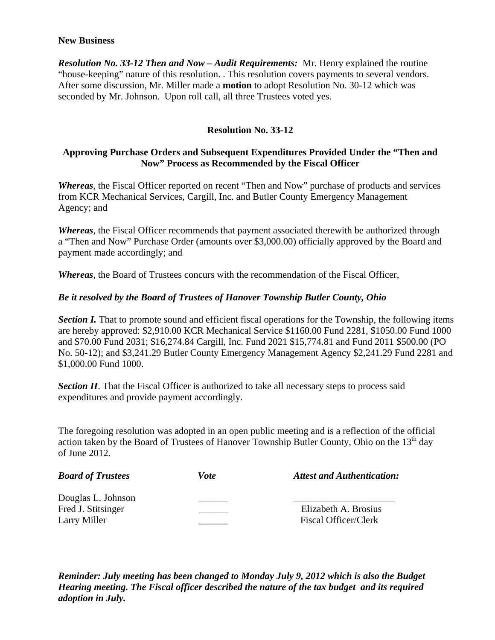### **New Business**

*Resolution No. 33-12 Then and Now – Audit Requirements:* Mr. Henry explained the routine "house-keeping" nature of this resolution. . This resolution covers payments to several vendors. After some discussion, Mr. Miller made a **motion** to adopt Resolution No. 30-12 which was seconded by Mr. Johnson. Upon roll call, all three Trustees voted yes.

# **Resolution No. 33-12**

# **Approving Purchase Orders and Subsequent Expenditures Provided Under the "Then and Now" Process as Recommended by the Fiscal Officer**

*Whereas*, the Fiscal Officer reported on recent "Then and Now" purchase of products and services from KCR Mechanical Services, Cargill, Inc. and Butler County Emergency Management Agency; and

*Whereas*, the Fiscal Officer recommends that payment associated therewith be authorized through a "Then and Now" Purchase Order (amounts over \$3,000.00) officially approved by the Board and payment made accordingly; and

*Whereas*, the Board of Trustees concurs with the recommendation of the Fiscal Officer,

# *Be it resolved by the Board of Trustees of Hanover Township Butler County, Ohio*

*Section I.* That to promote sound and efficient fiscal operations for the Township, the following items are hereby approved: \$2,910.00 KCR Mechanical Service \$1160.00 Fund 2281, \$1050.00 Fund 1000 and \$70.00 Fund 2031; \$16,274.84 Cargill, Inc. Fund 2021 \$15,774.81 and Fund 2011 \$500.00 (PO No. 50-12); and \$3,241.29 Butler County Emergency Management Agency \$2,241.29 Fund 2281 and \$1,000.00 Fund 1000.

**Section II**. That the Fiscal Officer is authorized to take all necessary steps to process said expenditures and provide payment accordingly.

The foregoing resolution was adopted in an open public meeting and is a reflection of the official action taken by the Board of Trustees of Hanover Township Butler County, Ohio on the 13<sup>th</sup> day of June 2012.

| <b>Board of Trustees</b> | Vote | <b>Attest and Authentication:</b> |
|--------------------------|------|-----------------------------------|
| Douglas L. Johnson       |      |                                   |
| Fred J. Stitsinger       |      | Elizabeth A. Brosius              |
| Larry Miller             |      | Fiscal Officer/Clerk              |

*Reminder: July meeting has been changed to Monday July 9, 2012 which is also the Budget Hearing meeting. The Fiscal officer described the nature of the tax budget and its required adoption in July.*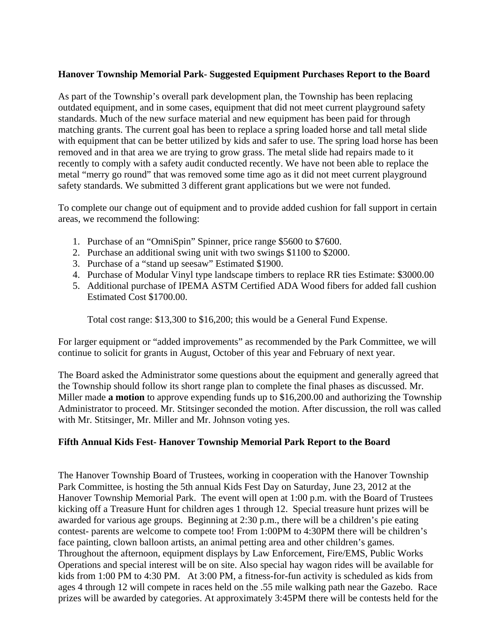# **Hanover Township Memorial Park- Suggested Equipment Purchases Report to the Board**

As part of the Township's overall park development plan, the Township has been replacing outdated equipment, and in some cases, equipment that did not meet current playground safety standards. Much of the new surface material and new equipment has been paid for through matching grants. The current goal has been to replace a spring loaded horse and tall metal slide with equipment that can be better utilized by kids and safer to use. The spring load horse has been removed and in that area we are trying to grow grass. The metal slide had repairs made to it recently to comply with a safety audit conducted recently. We have not been able to replace the metal "merry go round" that was removed some time ago as it did not meet current playground safety standards. We submitted 3 different grant applications but we were not funded.

To complete our change out of equipment and to provide added cushion for fall support in certain areas, we recommend the following:

- 1. Purchase of an "OmniSpin" Spinner, price range \$5600 to \$7600.
- 2. Purchase an additional swing unit with two swings \$1100 to \$2000.
- 3. Purchase of a "stand up seesaw" Estimated \$1900.
- 4. Purchase of Modular Vinyl type landscape timbers to replace RR ties Estimate: \$3000.00
- 5. Additional purchase of IPEMA ASTM Certified ADA Wood fibers for added fall cushion Estimated Cost \$1700.00.

Total cost range: \$13,300 to \$16,200; this would be a General Fund Expense.

For larger equipment or "added improvements" as recommended by the Park Committee, we will continue to solicit for grants in August, October of this year and February of next year.

The Board asked the Administrator some questions about the equipment and generally agreed that the Township should follow its short range plan to complete the final phases as discussed. Mr. Miller made **a motion** to approve expending funds up to \$16,200.00 and authorizing the Township Administrator to proceed. Mr. Stitsinger seconded the motion. After discussion, the roll was called with Mr. Stitsinger, Mr. Miller and Mr. Johnson voting yes.

# **Fifth Annual Kids Fest- Hanover Township Memorial Park Report to the Board**

The Hanover Township Board of Trustees, working in cooperation with the Hanover Township Park Committee, is hosting the 5th annual Kids Fest Day on Saturday, June 23, 2012 at the Hanover Township Memorial Park. The event will open at 1:00 p.m. with the Board of Trustees kicking off a Treasure Hunt for children ages 1 through 12. Special treasure hunt prizes will be awarded for various age groups. Beginning at 2:30 p.m., there will be a children's pie eating contest- parents are welcome to compete too! From 1:00PM to 4:30PM there will be children's face painting, clown balloon artists, an animal petting area and other children's games. Throughout the afternoon, equipment displays by Law Enforcement, Fire/EMS, Public Works Operations and special interest will be on site. Also special hay wagon rides will be available for kids from 1:00 PM to 4:30 PM. At 3:00 PM, a fitness-for-fun activity is scheduled as kids from ages 4 through 12 will compete in races held on the .55 mile walking path near the Gazebo. Race prizes will be awarded by categories. At approximately 3:45PM there will be contests held for the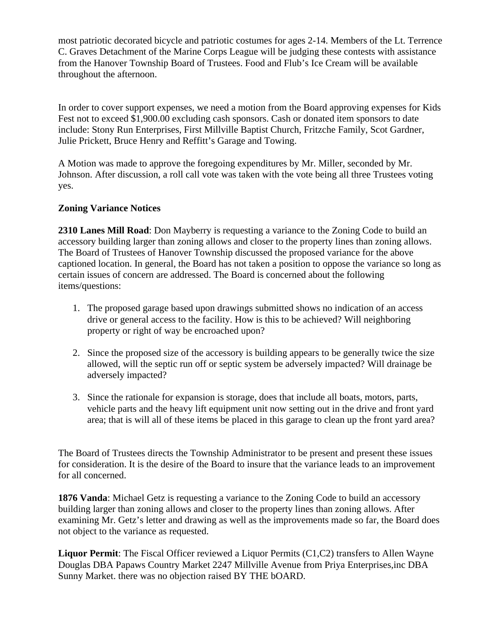most patriotic decorated bicycle and patriotic costumes for ages 2-14. Members of the Lt. Terrence C. Graves Detachment of the Marine Corps League will be judging these contests with assistance from the Hanover Township Board of Trustees. Food and Flub's Ice Cream will be available throughout the afternoon.

In order to cover support expenses, we need a motion from the Board approving expenses for Kids Fest not to exceed \$1,900.00 excluding cash sponsors. Cash or donated item sponsors to date include: Stony Run Enterprises, First Millville Baptist Church, Fritzche Family, Scot Gardner, Julie Prickett, Bruce Henry and Reffitt's Garage and Towing.

A Motion was made to approve the foregoing expenditures by Mr. Miller, seconded by Mr. Johnson. After discussion, a roll call vote was taken with the vote being all three Trustees voting yes.

# **Zoning Variance Notices**

**2310 Lanes Mill Road**: Don Mayberry is requesting a variance to the Zoning Code to build an accessory building larger than zoning allows and closer to the property lines than zoning allows. The Board of Trustees of Hanover Township discussed the proposed variance for the above captioned location. In general, the Board has not taken a position to oppose the variance so long as certain issues of concern are addressed. The Board is concerned about the following items/questions:

- 1. The proposed garage based upon drawings submitted shows no indication of an access drive or general access to the facility. How is this to be achieved? Will neighboring property or right of way be encroached upon?
- 2. Since the proposed size of the accessory is building appears to be generally twice the size allowed, will the septic run off or septic system be adversely impacted? Will drainage be adversely impacted?
- 3. Since the rationale for expansion is storage, does that include all boats, motors, parts, vehicle parts and the heavy lift equipment unit now setting out in the drive and front yard area; that is will all of these items be placed in this garage to clean up the front yard area?

The Board of Trustees directs the Township Administrator to be present and present these issues for consideration. It is the desire of the Board to insure that the variance leads to an improvement for all concerned.

**1876 Vanda**: Michael Getz is requesting a variance to the Zoning Code to build an accessory building larger than zoning allows and closer to the property lines than zoning allows. After examining Mr. Getz's letter and drawing as well as the improvements made so far, the Board does not object to the variance as requested.

**Liquor Permit**: The Fiscal Officer reviewed a Liquor Permits (C1,C2) transfers to Allen Wayne Douglas DBA Papaws Country Market 2247 Millville Avenue from Priya Enterprises,inc DBA Sunny Market. there was no objection raised BY THE bOARD.